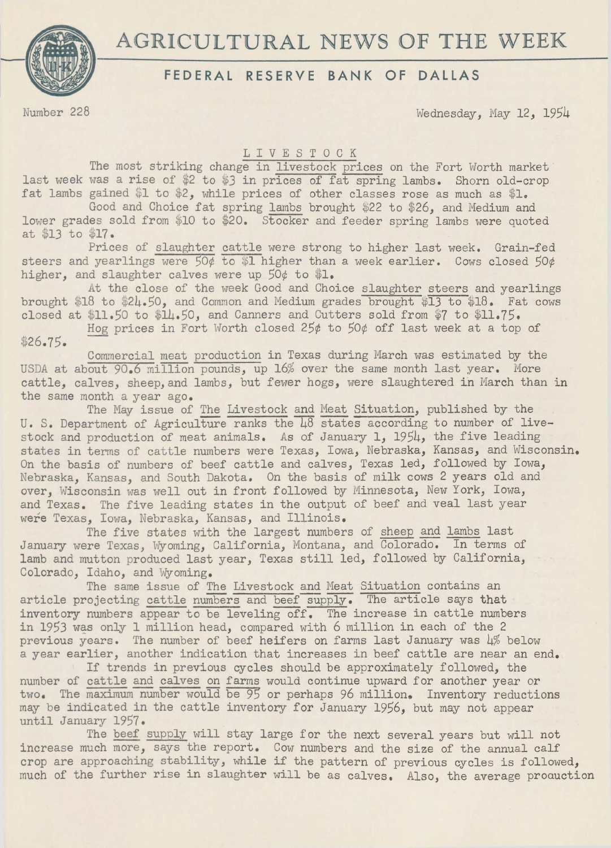# AGRICULTURAL NEWS OF THE WEEK



# **FEDERAL RESERVE BANK OF DALLAS**

Number 228 Wednesday, May 12, 1954

### L I V E S T 0 C K

The most striking change in livestock prices on the Fort Worth market last week was a rise of \$2 to \$3 in prices of fat spring lambs. Shorn old-crop fat lambs gained \$1 to \$2, while prices of other classes rose as much as \$1.

Good and Choice fat spring lambs brought \$22 to \$26, and Medium and lower grades sold from \$10 to \$20. Stocker and feeder spring lambs were quoted at \$13 to \$17.

Prices of slaughter cattle were strong to higher last week. Grain-fed steers and yearlings were  $\frac{50}{6}$  to \$1 higher than a week earlier. Cows closed  $50\phi$ higher, and slaughter calves were up 50¢ to \$1.

At the close of the week Good and Choice slaughter steers and yearlings brought \$18 to \$24.50, and Common and Medium grades brought \$13 to \$18. Fat cows closed at \$11.50 to \$14.50, and Canners and Cutters sold from \$7 to \$11.75.

Hog prices in Fort Worth closed 25¢ to 50¢ off last week at a top of \$26.75.

Commercial meat production in Texas during March was estimated by the USDA at about 90.6 million pounds, up 16% over the same month last year. More cattle, calves, sheep, and lambs, but fewer hogs, were slaughtered in March than in the same month a year ago.

The May issue of The Livestock and Meat Situation, published by the U. S. Department of Agriculture ranks the 48 states according to number of livestock and production of meat animals. As of January 1, 1954, the five leading states in terms of cattle numbers were Texas, Iowa, Nebraska, Kansas, and Wisconsin. On the basis of numbers of beef cattle and calves, Texas led, followed by Iowa, Nebraska, Kansas, and South Dakota. On the basis of milk cows 2 years old and over, Wisconsin was well out in front followed by Minnesota, New York, Iowa, and Texas. The five leading states in the output of beef and veal last year were Texas, Iowa, Nebraska, Kansas, and Illinois.

The five states with the largest numbers of sheep and lambs last January were Texas, Wyoming, California, Montana, and Colorado. In terms of lamb and mutton produced last year, Texas still led, followed by California, Colorado, Idaho, and Wyoming.

The same issue of The Livestock and Meat Situation contains an article projecting cattle numbers and beef supply. The article says that inventory numbers appear to be leveling off. The increase in cattle numbers in 1953 was only 1 million head, compared with 6 million in each of the 2 previous years. The number of beef heifers on farms last January was 4% below a year earlier, another indication that increases in beef cattle are near an end.

If trends in previous cycles should be approximately followed, the number of cattle and calves on farms would continue upward for another year or two. The maximum number would be 95 or perhaps 96 million. Inventory reductions may be indicated in the cattle inventory for January 1956, but may not appear until January 1957.

The beef supply will stay large for the next several years but will not increase much more, says the report. Cow numbers and the size of the annual calf crop are approaching stability, while if the pattern of previous cycles is followed, much of the further rise in slaughter will be as calves. Also, the average proauction